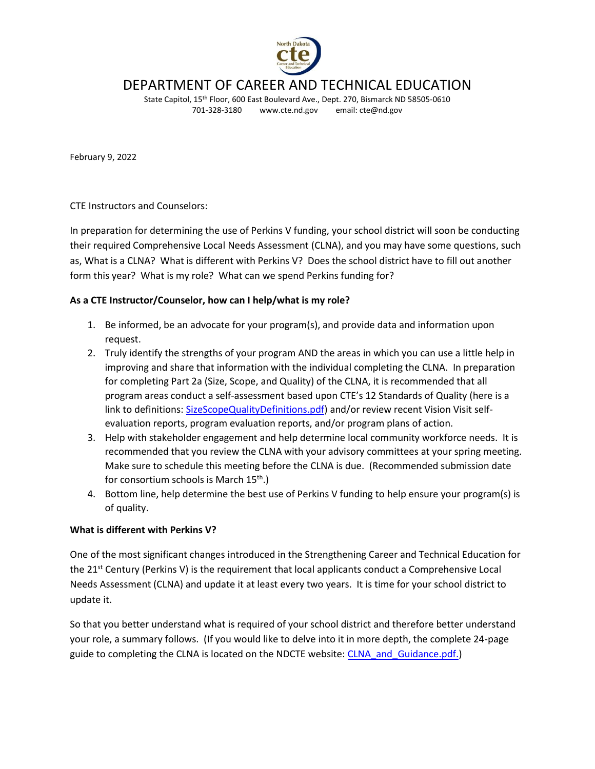

# DEPARTMENT OF CAREER AND TECHNICAL EDUCATION

State Capitol, 15<sup>th</sup> Floor, 600 East Boulevard Ave., Dept. 270, Bismarck ND 58505-0610 701-328-3180 www.cte.nd.gov email: cte@nd.gov

February 9, 2022

CTE Instructors and Counselors:

In preparation for determining the use of Perkins V funding, your school district will soon be conducting their required Comprehensive Local Needs Assessment (CLNA), and you may have some questions, such as, What is a CLNA? What is different with Perkins V? Does the school district have to fill out another form this year? What is my role? What can we spend Perkins funding for?

### **As a CTE Instructor/Counselor, how can I help/what is my role?**

- 1. Be informed, be an advocate for your program(s), and provide data and information upon request.
- 2. Truly identify the strengths of your program AND the areas in which you can use a little help in improving and share that information with the individual completing the CLNA. In preparation for completing Part 2a (Size, Scope, and Quality) of the CLNA, it is recommended that all program areas conduct a self-assessment based upon CTE's 12 Standards of Quality (here is a link to definitions: [SizeScopeQualityDefinitions.pdf\)](https://www.cte.nd.gov/sites/www/files/documents/Perkins/SizeScopeQualityDefinitions.pdf) and/or review recent Vision Visit selfevaluation reports, program evaluation reports, and/or program plans of action.
- 3. Help with stakeholder engagement and help determine local community workforce needs. It is recommended that you review the CLNA with your advisory committees at your spring meeting. Make sure to schedule this meeting before the CLNA is due. (Recommended submission date for consortium schools is March  $15<sup>th</sup>$ .)
- 4. Bottom line, help determine the best use of Perkins V funding to help ensure your program(s) is of quality.

### **What is different with Perkins V?**

One of the most significant changes introduced in the Strengthening Career and Technical Education for the  $21<sup>st</sup>$  Century (Perkins V) is the requirement that local applicants conduct a Comprehensive Local Needs Assessment (CLNA) and update it at least every two years. It is time for your school district to update it.

So that you better understand what is required of your school district and therefore better understand your role, a summary follows. (If you would like to delve into it in more depth, the complete 24-page guide to completing the CLNA is located on the NDCTE website[: CLNA\\_and\\_Guidance.pdf.](https://www.cte.nd.gov/sites/www/files/documents/Perkins/CLNA_and_Guidance.pdf))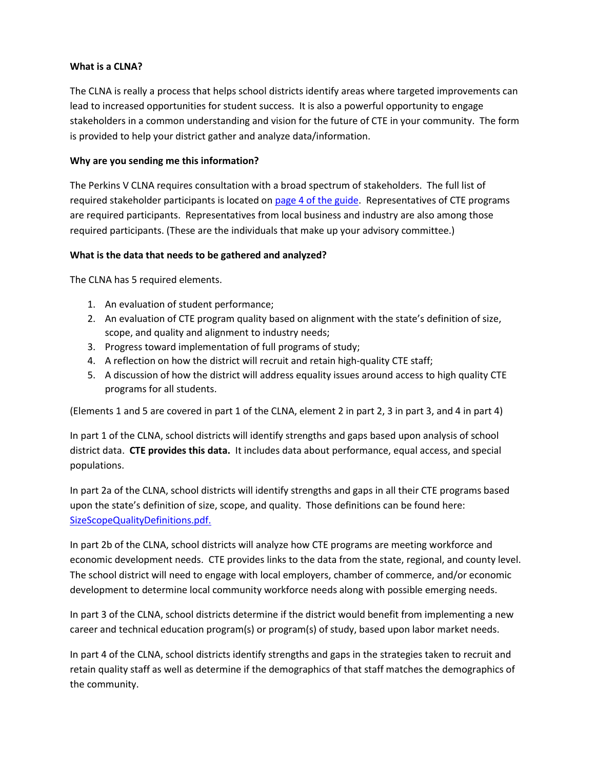## **What is a CLNA?**

The CLNA is really a process that helps school districts identify areas where targeted improvements can lead to increased opportunities for student success. It is also a powerful opportunity to engage stakeholders in a common understanding and vision for the future of CTE in your community. The form is provided to help your district gather and analyze data/information.

# **Why are you sending me this information?**

The Perkins V CLNA requires consultation with a broad spectrum of stakeholders. The full list of required stakeholder participants is located on [page 4 of the guide.](https://www.cte.nd.gov/sites/www/files/documents/Perkins/CLNA_and_Guidance.pdf#page=4) Representatives of CTE programs are required participants. Representatives from local business and industry are also among those required participants. (These are the individuals that make up your advisory committee.)

# **What is the data that needs to be gathered and analyzed?**

The CLNA has 5 required elements.

- 1. An evaluation of student performance;
- 2. An evaluation of CTE program quality based on alignment with the state's definition of size, scope, and quality and alignment to industry needs;
- 3. Progress toward implementation of full programs of study;
- 4. A reflection on how the district will recruit and retain high-quality CTE staff;
- 5. A discussion of how the district will address equality issues around access to high quality CTE programs for all students.

(Elements 1 and 5 are covered in part 1 of the CLNA, element 2 in part 2, 3 in part 3, and 4 in part 4)

In part 1 of the CLNA, school districts will identify strengths and gaps based upon analysis of school district data. **CTE provides this data.** It includes data about performance, equal access, and special populations.

In part 2a of the CLNA, school districts will identify strengths and gaps in all their CTE programs based upon the state's definition of size, scope, and quality. Those definitions can be found here: [SizeScopeQualityDefinitions.pdf.](https://www.cte.nd.gov/sites/www/files/documents/Perkins/SizeScopeQualityDefinitions.pdf)

In part 2b of the CLNA, school districts will analyze how CTE programs are meeting workforce and economic development needs. CTE provides links to the data from the state, regional, and county level. The school district will need to engage with local employers, chamber of commerce, and/or economic development to determine local community workforce needs along with possible emerging needs.

In part 3 of the CLNA, school districts determine if the district would benefit from implementing a new career and technical education program(s) or program(s) of study, based upon labor market needs.

In part 4 of the CLNA, school districts identify strengths and gaps in the strategies taken to recruit and retain quality staff as well as determine if the demographics of that staff matches the demographics of the community.